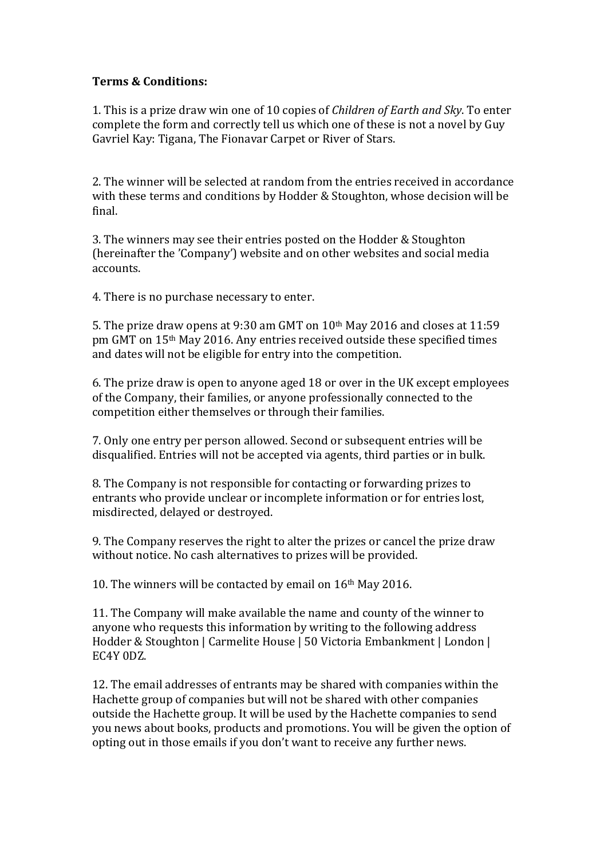## **Terms & Conditions:**

1. This is a prize draw win one of 10 copies of *Children of Earth and Sky*. To enter complete the form and correctly tell us which one of these is not a novel by Guy Gavriel Kay: Tigana, The Fionavar Carpet or River of Stars.

2. The winner will be selected at random from the entries received in accordance with these terms and conditions by Hodder & Stoughton, whose decision will be final. 

3. The winners may see their entries posted on the Hodder & Stoughton (hereinafter the 'Company') website and on other websites and social media accounts. 

4. There is no purchase necessary to enter.

5. The prize draw opens at 9:30 am GMT on  $10<sup>th</sup>$  May 2016 and closes at 11:59 pm GMT on 15<sup>th</sup> May 2016. Any entries received outside these specified times and dates will not be eligible for entry into the competition.

6. The prize draw is open to anyone aged 18 or over in the UK except employees of the Company, their families, or anyone professionally connected to the competition either themselves or through their families.

7. Only one entry per person allowed. Second or subsequent entries will be disqualified. Entries will not be accepted via agents, third parties or in bulk.

8. The Company is not responsible for contacting or forwarding prizes to entrants who provide unclear or incomplete information or for entries lost, misdirected, delayed or destroyed.

9. The Company reserves the right to alter the prizes or cancel the prize draw without notice. No cash alternatives to prizes will be provided.

10. The winners will be contacted by email on  $16<sup>th</sup>$  May 2016.

11. The Company will make available the name and county of the winner to anyone who requests this information by writing to the following address Hodder & Stoughton | Carmelite House | 50 Victoria Embankment | London | EC4Y 0DZ.

12. The email addresses of entrants may be shared with companies within the Hachette group of companies but will not be shared with other companies outside the Hachette group. It will be used by the Hachette companies to send you news about books, products and promotions. You will be given the option of opting out in those emails if you don't want to receive any further news.